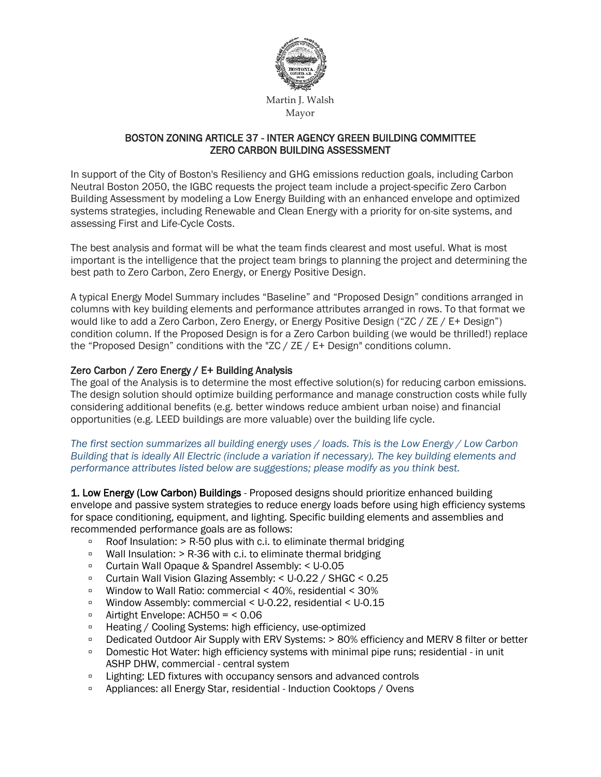

## BOSTON ZONING ARTICLE 37 - INTER AGENCY GREEN BUILDING COMMITTEE ZERO CARBON BUILDING ASSESSMENT

In support of the City of Boston's Resiliency and GHG emissions reduction goals, including Carbon Neutral Boston 2050, the IGBC requests the project team include a project-specific Zero Carbon Building Assessment by modeling a Low Energy Building with an enhanced envelope and optimized systems strategies, including Renewable and Clean Energy with a priority for on-site systems, and assessing First and Life-Cycle Costs.

The best analysis and format will be what the team finds clearest and most useful. What is most important is the intelligence that the project team brings to planning the project and determining the best path to Zero Carbon, Zero Energy, or Energy Positive Design.

A typical Energy Model Summary includes "Baseline" and "Proposed Design" conditions arranged in columns with key building elements and performance attributes arranged in rows. To that format we would like to add a Zero Carbon, Zero Energy, or Energy Positive Design ("ZC / ZE / E+ Design") condition column. If the Proposed Design is for a Zero Carbon building (we would be thrilled!) replace the "Proposed Design" conditions with the "ZC / ZE / E+ Design" conditions column.

## Zero Carbon / Zero Energy / E+ Building Analysis

The goal of the Analysis is to determine the most effective solution(s) for reducing carbon emissions. The design solution should optimize building performance and manage construction costs while fully considering additional benefits (e.g. better windows reduce ambient urban noise) and financial opportunities (e.g. LEED buildings are more valuable) over the building life cycle.

### *The first section summarizes all building energy uses / loads. This is the Low Energy / Low Carbon Building that is ideally All Electric (include a variation if necessary). The key building elements and performance attributes listed below are suggestions; please modify as you think best.*

1. Low Energy (Low Carbon) Buildings - Proposed designs should prioritize enhanced building envelope and passive system strategies to reduce energy loads before using high efficiency systems for space conditioning, equipment, and lighting. Specific building elements and assemblies and recommended performance goals are as follows:

- $\overline{P}$  Roof Insulation: > R-50 plus with c.i. to eliminate thermal bridging
- □ Wall Insulation: > R-36 with c.i. to eliminate thermal bridging
- Curtain Wall Opaque & Spandrel Assembly: < U-0.05
- Curtain Wall Vision Glazing Assembly: < U-0.22 / SHGC < 0.25
- Window to Wall Ratio: commercial < 40%, residential < 30%
- Window Assembly: commercial < U-0.22, residential < U-0.15
- Airtight Envelope: ACH50 =  $<$  0.06
- Heating / Cooling Systems: high efficiency, use-optimized
- □ Dedicated Outdoor Air Supply with ERV Systems: > 80% efficiency and MERV 8 filter or better
- Domestic Hot Water: high efficiency systems with minimal pipe runs; residential in unit ASHP DHW, commercial - central system
- □ Lighting: LED fixtures with occupancy sensors and advanced controls
- <sup>o</sup> Appliances: all Energy Star, residential Induction Cooktops / Ovens